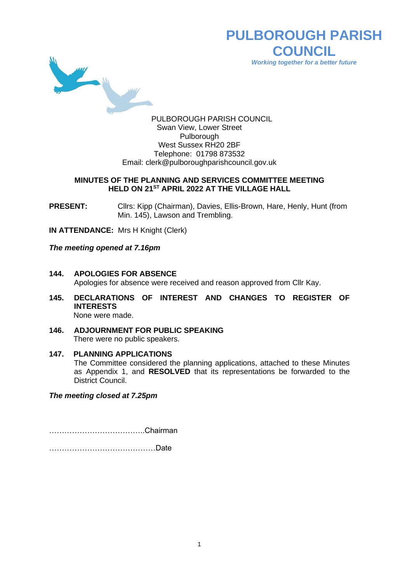

**PULBOROUGH PARISH COUNCIL** *Working together for a better future*

PULBOROUGH PARISH COUNCIL Swan View, Lower Street Pulborough West Sussex RH20 2BF Telephone: 01798 873532 Email: [clerk@pulboroughparishcouncil.gov.uk](mailto:clerk@pulboroughparishcouncil.gov.uk)

## **MINUTES OF THE PLANNING AND SERVICES COMMITTEE MEETING HELD ON 21 ST APRIL 2022 AT THE VILLAGE HALL**

**PRESENT:** Clirs: Kipp (Chairman), Davies, Ellis-Brown, Hare, Henly, Hunt (from Min. 145), Lawson and Trembling.

**IN ATTENDANCE:** Mrs H Knight (Clerk)

*The meeting opened at 7.16pm*

- **144. APOLOGIES FOR ABSENCE** Apologies for absence were received and reason approved from Cllr Kay.
- **145. DECLARATIONS OF INTEREST AND CHANGES TO REGISTER OF INTERESTS** None were made.
- **146. ADJOURNMENT FOR PUBLIC SPEAKING**

There were no public speakers.

# **147. PLANNING APPLICATIONS**

The Committee considered the planning applications, attached to these Minutes as Appendix 1, and **RESOLVED** that its representations be forwarded to the District Council.

*The meeting closed at 7.25pm*

………………………………..Chairman

……………………………………Date